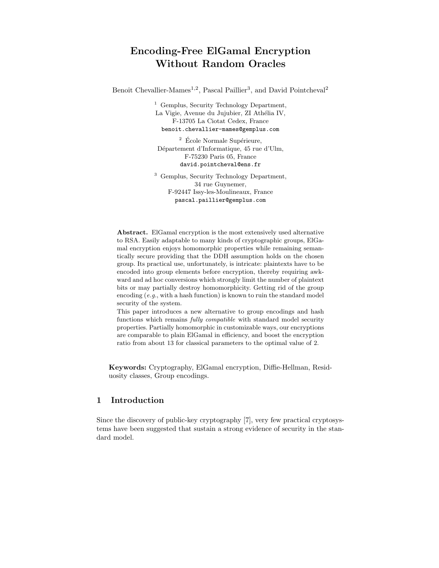# Encoding-Free ElGamal Encryption Without Random Oracles

Benoît Chevallier-Mames<sup>1,2</sup>, Pascal Paillier<sup>3</sup>, and David Pointcheval<sup>2</sup>

<sup>1</sup> Gemplus, Security Technology Department, La Vigie, Avenue du Jujubier, ZI Athélia IV, F-13705 La Ciotat Cedex, France benoit.chevallier-mames@gemplus.com

 $2$  École Normale Supérieure, Département d'Informatique, 45 rue d'Ulm, F-75230 Paris 05, France david.pointcheval@ens.fr

<sup>3</sup> Gemplus, Security Technology Department, 34 rue Guynemer, F-92447 Issy-les-Moulineaux, France pascal.paillier@gemplus.com

Abstract. ElGamal encryption is the most extensively used alternative to RSA. Easily adaptable to many kinds of cryptographic groups, ElGamal encryption enjoys homomorphic properties while remaining semantically secure providing that the DDH assumption holds on the chosen group. Its practical use, unfortunately, is intricate: plaintexts have to be encoded into group elements before encryption, thereby requiring awkward and ad hoc conversions which strongly limit the number of plaintext bits or may partially destroy homomorphicity. Getting rid of the group encoding (e.g., with a hash function) is known to ruin the standard model security of the system.

This paper introduces a new alternative to group encodings and hash functions which remains fully compatible with standard model security properties. Partially homomorphic in customizable ways, our encryptions are comparable to plain ElGamal in efficiency, and boost the encryption ratio from about 13 for classical parameters to the optimal value of 2.

Keywords: Cryptography, ElGamal encryption, Diffie-Hellman, Residuosity classes, Group encodings.

## 1 Introduction

Since the discovery of public-key cryptography [7], very few practical cryptosystems have been suggested that sustain a strong evidence of security in the standard model.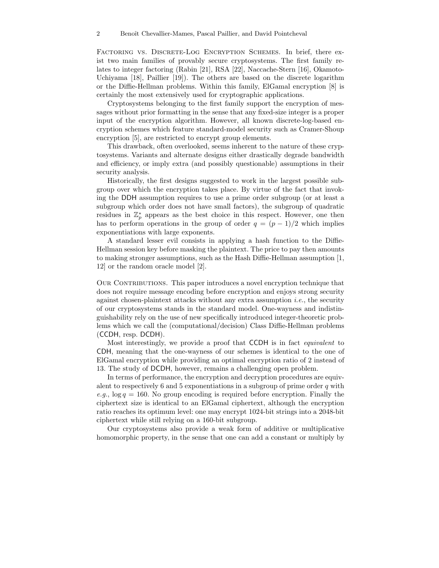Factoring vs. Discrete-Log Encryption Schemes. In brief, there exist two main families of provably secure cryptosystems. The first family relates to integer factoring (Rabin [21], RSA [22], Naccache-Stern [16], Okamoto-Uchiyama [18], Paillier [19]). The others are based on the discrete logarithm or the Diffie-Hellman problems. Within this family, ElGamal encryption [8] is certainly the most extensively used for cryptographic applications.

Cryptosystems belonging to the first family support the encryption of messages without prior formatting in the sense that any fixed-size integer is a proper input of the encryption algorithm. However, all known discrete-log-based encryption schemes which feature standard-model security such as Cramer-Shoup encryption [5], are restricted to encrypt group elements.

This drawback, often overlooked, seems inherent to the nature of these cryptosystems. Variants and alternate designs either drastically degrade bandwidth and efficiency, or imply extra (and possibly questionable) assumptions in their security analysis.

Historically, the first designs suggested to work in the largest possible subgroup over which the encryption takes place. By virtue of the fact that invoking the DDH assumption requires to use a prime order subgroup (or at least a subgroup which order does not have small factors), the subgroup of quadratic residues in  $\mathbb{Z}_p^*$  appears as the best choice in this respect. However, one then has to perform operations in the group of order  $q = (p - 1)/2$  which implies exponentiations with large exponents.

A standard lesser evil consists in applying a hash function to the Diffie-Hellman session key before masking the plaintext. The price to pay then amounts to making stronger assumptions, such as the Hash Diffie-Hellman assumption [1, 12] or the random oracle model [2].

OUR CONTRIBUTIONS. This paper introduces a novel encryption technique that does not require message encoding before encryption and enjoys strong security against chosen-plaintext attacks without any extra assumption  $i.e.,$  the security of our cryptosystems stands in the standard model. One-wayness and indistinguishability rely on the use of new specifically introduced integer-theoretic problems which we call the (computational/decision) Class Diffie-Hellman problems (CCDH, resp. DCDH).

Most interestingly, we provide a proof that CCDH is in fact equivalent to CDH, meaning that the one-wayness of our schemes is identical to the one of ElGamal encryption while providing an optimal encryption ratio of 2 instead of 13. The study of DCDH, however, remains a challenging open problem.

In terms of performance, the encryption and decryption procedures are equivalent to respectively 6 and 5 exponentiations in a subgroup of prime order  $q$  with e.g.,  $\log q = 160$ . No group encoding is required before encryption. Finally the ciphertext size is identical to an ElGamal ciphertext, although the encryption ratio reaches its optimum level: one may encrypt 1024-bit strings into a 2048-bit ciphertext while still relying on a 160-bit subgroup.

Our cryptosystems also provide a weak form of additive or multiplicative homomorphic property, in the sense that one can add a constant or multiply by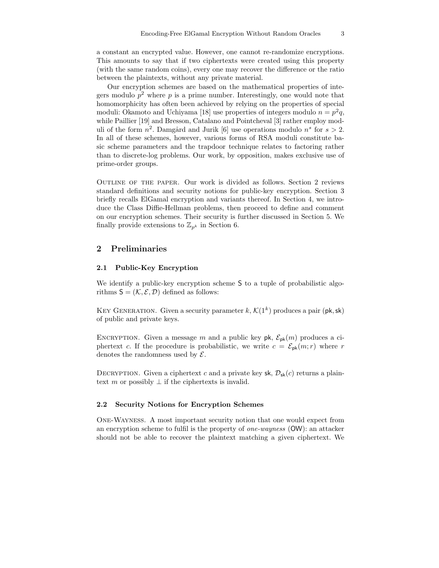a constant an encrypted value. However, one cannot re-randomize encryptions. This amounts to say that if two ciphertexts were created using this property (with the same random coins), every one may recover the difference or the ratio between the plaintexts, without any private material.

Our encryption schemes are based on the mathematical properties of integers modulo  $p^2$  where p is a prime number. Interestingly, one would note that homomorphicity has often been achieved by relying on the properties of special moduli: Okamoto and Uchiyama [18] use properties of integers modulo  $n = p^2 q$ , while Paillier [19] and Bresson, Catalano and Pointcheval [3] rather employ moduli of the form  $n^2$ . Damgård and Jurik [6] use operations modulo  $n^s$  for  $s > 2$ . In all of these schemes, however, various forms of RSA moduli constitute basic scheme parameters and the trapdoor technique relates to factoring rather than to discrete-log problems. Our work, by opposition, makes exclusive use of prime-order groups.

Outline of the paper. Our work is divided as follows. Section 2 reviews standard definitions and security notions for public-key encryption. Section 3 briefly recalls ElGamal encryption and variants thereof. In Section 4, we introduce the Class Diffie-Hellman problems, then proceed to define and comment on our encryption schemes. Their security is further discussed in Section 5. We finally provide extensions to  $\mathbb{Z}_{p^k}$  in Section 6.

### 2 Preliminaries

#### 2.1 Public-Key Encryption

We identify a public-key encryption scheme S to a tuple of probabilistic algorithms  $S = (\mathcal{K}, \mathcal{E}, \mathcal{D})$  defined as follows:

KEY GENERATION. Given a security parameter  $k, \mathcal{K}(1^k)$  produces a pair (pk, sk) of public and private keys.

ENCRYPTION. Given a message m and a public key  $pk$ ,  $\mathcal{E}_{pk}(m)$  produces a ciphertext c. If the procedure is probabilistic, we write  $c = \mathcal{E}_{\text{pk}}(m; r)$  where r denotes the randomness used by  $\mathcal{E}$ .

DECRYPTION. Given a ciphertext c and a private key sk,  $\mathcal{D}_{sk}(c)$  returns a plaintext m or possibly  $\perp$  if the ciphertexts is invalid.

#### 2.2 Security Notions for Encryption Schemes

One-Wayness. A most important security notion that one would expect from an encryption scheme to fulfil is the property of one-wayness (OW): an attacker should not be able to recover the plaintext matching a given ciphertext. We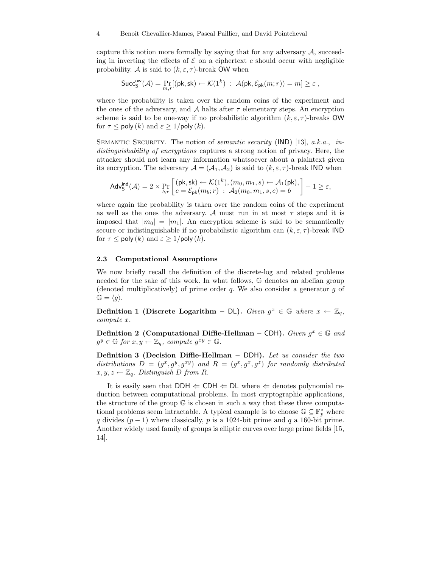capture this notion more formally by saying that for any adversary  $A$ , succeeding in inverting the effects of  $\mathcal E$  on a ciphertext c should occur with negligible probability. A is said to  $(k, \varepsilon, \tau)$ -break OW when

$$
{\sf Succ}_\mathsf{S}^{\sf GW}(\mathcal{A}) = \Pr_{m,r}[(\mathsf{pk},\mathsf{sk}) \leftarrow \mathcal{K}(1^k) \;:\; \mathcal{A}(\mathsf{pk},\mathcal{E}_{\mathsf{pk}}(m;r)) = m] \geq \varepsilon \;,
$$

where the probability is taken over the random coins of the experiment and the ones of the adversary, and A halts after  $\tau$  elementary steps. An encryption scheme is said to be one-way if no probabilistic algorithm  $(k, \varepsilon, \tau)$ -breaks OW for  $\tau \leq$  poly  $(k)$  and  $\varepsilon \geq 1$ /poly  $(k)$ .

SEMANTIC SECURITY. The notion of *semantic security* (IND) [13], a.k.a., indistinguishability of encryptions captures a strong notion of privacy. Here, the attacker should not learn any information whatsoever about a plaintext given its encryption. The adversary  $A = (A_1, A_2)$  is said to  $(k, \varepsilon, \tau)$ -break IND when

$$
\mathsf{Adv}^{\mathsf{ind}}_{\mathsf{S}}(\mathcal{A}) = 2 \times \Pr_{b,r} \left[ \left( \mathsf{pk}, \mathsf{sk} \right) \leftarrow \mathcal{K}(1^k), (m_0, m_1, s) \leftarrow \mathcal{A}_1(\mathsf{pk}),\\ c = \mathcal{E}_{\mathsf{pk}}(m_b; r) \ : \ \mathcal{A}_2(m_0, m_1, s, c) = b \right] - 1 \geq \varepsilon,
$$

where again the probability is taken over the random coins of the experiment as well as the ones the adversary. A must run in at most  $\tau$  steps and it is imposed that  $|m_0| = |m_1|$ . An encryption scheme is said to be semantically secure or indistinguishable if no probabilistic algorithm can  $(k, \varepsilon, \tau)$ -break IND for  $\tau \leq \text{poly}(k)$  and  $\varepsilon \geq 1/\text{poly}(k)$ .

#### 2.3 Computational Assumptions

We now briefly recall the definition of the discrete-log and related problems needed for the sake of this work. In what follows, G denotes an abelian group (denoted multiplicatively) of prime order q. We also consider a generator q of  $\mathbb{G} = \langle q \rangle.$ 

Definition 1 (Discrete Logarithm – DL). Given  $g^x \in \mathbb{G}$  where  $x \leftarrow \mathbb{Z}_q$ , compute x.

Definition 2 (Computational Diffie-Hellman – CDH). Given  $g^x \in \mathbb{G}$  and  $g^y \in \mathbb{G}$  for  $x, y \leftarrow \mathbb{Z}_q$ , compute  $g^{xy} \in \mathbb{G}$ .

Definition 3 (Decision Diffie-Hellman – DDH). Let us consider the two distributions  $D = (g^x, g^y, g^{xy})$  and  $R = (g^x, g^x, g^z)$  for randomly distributed  $x, y, z \leftarrow \mathbb{Z}_q$ . Distinguish D from R.

It is easily seen that DDH  $\Leftarrow$  CDH  $\Leftarrow$  DL where  $\Leftarrow$  denotes polynomial reduction between computational problems. In most cryptographic applications, the structure of the group G is chosen in such a way that these three computational problems seem intractable. A typical example is to choose  $\mathbb{G} \subseteq \mathbb{F}_p^*$  where q divides  $(p-1)$  where classically, p is a 1024-bit prime and q a 160-bit prime. Another widely used family of groups is elliptic curves over large prime fields [15, 14].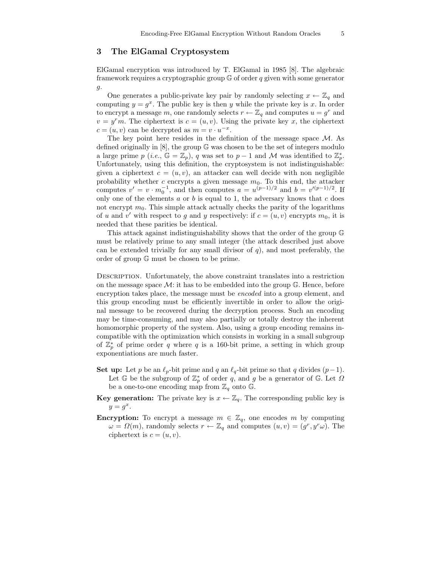## 3 The ElGamal Cryptosystem

ElGamal encryption was introduced by T. ElGamal in 1985 [8]. The algebraic framework requires a cryptographic group  $G$  of order q given with some generator g.

One generates a public-private key pair by randomly selecting  $x \leftarrow \mathbb{Z}_q$  and computing  $y = g^x$ . The public key is then y while the private key is x. In order to encrypt a message m, one randomly selects  $r \leftarrow \mathbb{Z}_q$  and computes  $u = g^r$  and  $v = y<sup>r</sup>m$ . The ciphertext is  $c = (u, v)$ . Using the private key x, the ciphertext  $c = (u, v)$  can be decrypted as  $m = v \cdot u^{-x}$ .

The key point here resides in the definition of the message space  $M$ . As defined originally in [8], the group G was chosen to be the set of integers modulo a large prime  $p (i.e., \mathbb{G} = \mathbb{Z}_p)$ , q was set to  $p-1$  and M was identified to  $\mathbb{Z}_p^*$ . Unfortunately, using this definition, the cryptosystem is not indistinguishable: given a ciphertext  $c = (u, v)$ , an attacker can well decide with non negligible probability whether c encrypts a given message  $m_0$ . To this end, the attacker computes  $v' = v \cdot m_0^{-1}$ , and then computes  $a = u^{(p-1)/2}$  and  $b = v'^{(p-1)/2}$ . If only one of the elements  $a$  or  $b$  is equal to 1, the adversary knows that  $c$  does not encrypt  $m_0$ . This simple attack actually checks the parity of the logarithms of u and v' with respect to g and y respectively: if  $c = (u, v)$  encrypts  $m_0$ , it is needed that these parities be identical.

This attack against indistinguishability shows that the order of the group G must be relatively prime to any small integer (the attack described just above can be extended trivially for any small divisor of  $q$ ), and most preferably, the order of group G must be chosen to be prime.

Description. Unfortunately, the above constraint translates into a restriction on the message space  $\mathcal{M}$ : it has to be embedded into the group  $\mathbb{G}$ . Hence, before encryption takes place, the message must be encoded into a group element, and this group encoding must be efficiently invertible in order to allow the original message to be recovered during the decryption process. Such an encoding may be time-consuming, and may also partially or totally destroy the inherent homomorphic property of the system. Also, using a group encoding remains incompatible with the optimization which consists in working in a small subgroup of  $\mathbb{Z}_p^*$  of prime order q where q is a 160-bit prime, a setting in which group exponentiations are much faster.

- Set up: Let p be an  $\ell_p$ -bit prime and q an  $\ell_q$ -bit prime so that q divides  $(p-1)$ . Let  $\mathbb G$  be the subgroup of  $\mathbb Z_p^*$  of order q, and g be a generator of  $\mathbb G$ . Let  $\Omega$ be a one-to-one encoding map from  $\mathbb{Z}_q$  onto G.
- **Key generation:** The private key is  $x \leftarrow \mathbb{Z}_q$ . The corresponding public key is  $y = g^x$ .
- **Encryption:** To encrypt a message  $m \in \mathbb{Z}_q$ , one encodes m by computing  $\omega = \Omega(m)$ , randomly selects  $r \leftarrow \mathbb{Z}_q$  and computes  $(u, v) = (g^r, y^r \omega)$ . The ciphertext is  $c = (u, v)$ .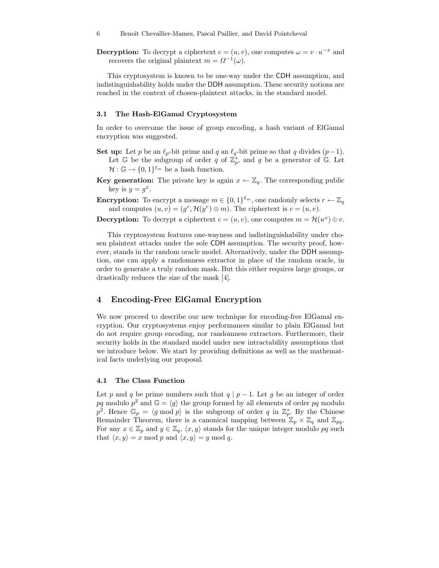**Decryption:** To decrypt a ciphertext  $c = (u, v)$ , one computes  $\omega = v \cdot u^{-x}$  and recovers the original plaintext  $m = \Omega^{-1}(\omega)$ .

This cryptosystem is known to be one-way under the CDH assumption, and indistinguishability holds under the DDH assumption. These security notions are reached in the context of chosen-plaintext attacks, in the standard model.

#### 3.1 The Hash-ElGamal Cryptosystem

In order to overcome the issue of group encoding, a hash variant of ElGamal encryption was suggested.

- Set up: Let p be an  $\ell_p$ -bit prime and q an  $\ell_q$ -bit prime so that q divides  $(p-1)$ . Let  $\mathbb G$  be the subgroup of order q of  $\mathbb Z_p^*$ , and g be a generator of  $\mathbb G$ . Let  $\mathcal{H}: \mathbb{G} \to \{0,1\}^{\ell_m}$  be a hash function.
- **Key generation:** The private key is again  $x \leftarrow \mathbb{Z}_q$ . The corresponding public key is  $y = g^x$ .
- **Encryption:** To encrypt a message  $m \in \{0,1\}^{\ell_m}$ , one randomly selects  $r \leftarrow \mathbb{Z}_q$ and computes  $(u, v) = (g^r, \mathcal{H}(y^r) \oplus m)$ . The ciphertext is  $c = (u, v)$ .

**Decryption:** To decrypt a ciphertext  $c = (u, v)$ , one computes  $m = \mathcal{H}(u^x) \oplus v$ .

This cryptosystem features one-wayness and indistinguishability under chosen plaintext attacks under the sole CDH assumption. The security proof, however, stands in the random oracle model. Alternatively, under the DDH assumption, one can apply a randomness extractor in place of the random oracle, in order to generate a truly random mask. But this either requires large groups, or drastically reduces the size of the mask [4].

## 4 Encoding-Free ElGamal Encryption

We now proceed to describe our new technique for encoding-free ElGamal encryption. Our cryptosystems enjoy performances similar to plain ElGamal but do not require group encoding, nor randomness extractors. Furthermore, their security holds in the standard model under new intractability assumptions that we introduce below. We start by providing definitions as well as the mathematical facts underlying our proposal.

#### 4.1 The Class Function

Let p and q be prime numbers such that  $q | p - 1$ . Let g be an integer of order pq modulo  $p^2$  and  $\mathbb{G} = \langle g \rangle$  the group formed by all elements of order pq modulo  $p^2$ . Hence  $\mathbb{G}_p = \langle g \bmod p \rangle$  is the subgroup of order q in  $\mathbb{Z}_p^*$ . By the Chinese Remainder Theorem, there is a canonical mapping between  $\mathbb{Z}_p \times \mathbb{Z}_q$  and  $\mathbb{Z}_{pq}$ . For any  $x \in \mathbb{Z}_p$  and  $y \in \mathbb{Z}_q$ ,  $\langle x, y \rangle$  stands for the unique integer modulo pq such that  $\langle x, y \rangle = x \mod p$  and  $\langle x, y \rangle = y \mod q$ .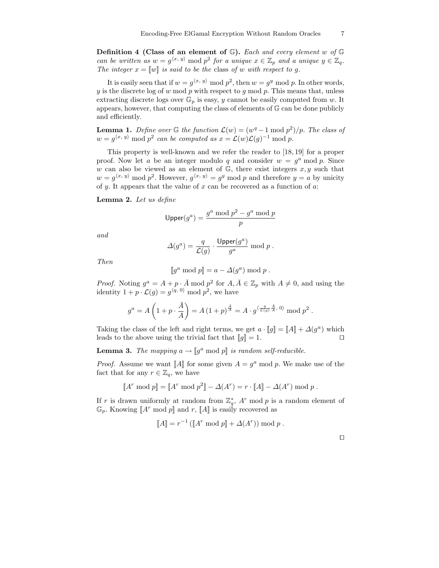**Definition 4 (Class of an element of G).** Each and every element w of G can be written as  $w = g^{(x, y)} \mod p^2$  for a unique  $x \in \mathbb{Z}_p$  and a unique  $y \in \mathbb{Z}_q$ . The integer  $x = [w]$  is said to be the class of w with respect to g.

It is easily seen that if  $w = g^{\langle x, y \rangle} \mod p^2$ , then  $w = g^y \mod p$ . In other words,  $y$  is the discrete log of  $w$  mod  $p$  with respect to  $g$  mod  $p$ . This means that, unless extracting discrete logs over  $\mathbb{G}_p$  is easy, y cannot be easily computed from w. It appears, however, that computing the class of elements of G can be done publicly and efficiently.

**Lemma 1.** Define over  $\mathbb{G}$  the function  $\mathcal{L}(w) = (w^q - 1 \mod p^2)/p$ . The class of  $w = g^{\langle x, y \rangle} \bmod p^2$  can be computed as  $x = \mathcal{L}(w)\mathcal{L}(g)^{-1} \bmod p$ .

This property is well-known and we refer the reader to [18, 19] for a proper proof. Now let a be an integer modulo q and consider  $w = g<sup>a</sup>$  mod p. Since w can also be viewed as an element of  $\mathbb{G}$ , there exist integers  $x, y$  such that  $w = g^{\langle x, y \rangle} \mod p^2$ . However,  $g^{\langle x, y \rangle} = g^y \mod p$  and therefore  $y = a$  by unicity of y. It appears that the value of  $x$  can be recovered as a function of  $a$ :

Lemma 2. Let us define

$$
\mathsf{Upper}(g^a) = \frac{g^a \bmod p^2 - g^a \bmod p}{p}
$$

and

$$
\Delta(g^a) = \frac{q}{\mathcal{L}(g)} \cdot \frac{\text{Upper}(g^a)}{g^a} \bmod p .
$$

Then

$$
[\![g^a \bmod p]\!] = a - \Delta(g^a) \bmod p .
$$

*Proof.* Noting  $g^a = A + p \cdot \overline{A}$  mod  $p^2$  for  $A, \overline{A} \in \mathbb{Z}_p$  with  $A \neq 0$ , and using the identity  $1 + p \cdot \mathcal{L}(g) = g^{\langle q, 0 \rangle} \text{ mod } p^2$ , we have

$$
g^{a} = A\left(1 + p \cdot \frac{\bar{A}}{A}\right) = A\left(1 + p\right)^{\frac{\bar{A}}{A}} = A \cdot g^{\langle \frac{q}{\mathcal{L}(g)}, \frac{\bar{A}}{A}, 0 \rangle} \mod p^{2}.
$$

Taking the class of the left and right terms, we get  $a \cdot [g] = [A] + \Delta(g^a)$  which leads to the above using the trivial fact that  $[[g]] = 1$ .

**Lemma 3.** The mapping  $a \to [g^a \bmod p]$  is random self-reducible.

*Proof.* Assume we want [A] for some given  $A = g^a \mod p$ . We make use of the fact that for any  $r \in \mathbb{Z}_q$ , we have

$$
[\![A^r \bmod p]\!] = [\![A^r \bmod p^2]\!] - \varDelta(A^r) = r \cdot [\![A]\!] - \varDelta(A^r) \bmod p .
$$

If r is drawn uniformly at random from  $\mathbb{Z}_q^*$ , A<sup>r</sup> mod p is a random element of  $\mathbb{G}_p$ . Knowing  $\llbracket A^r \bmod p \rrbracket$  and  $r$ ,  $\llbracket A \rrbracket$  is easily recovered as

$$
[\![A]\!] = r^{-1}([\![A^r \bmod p]\!] + \Delta(A^r)) \bmod p .
$$

 $\Box$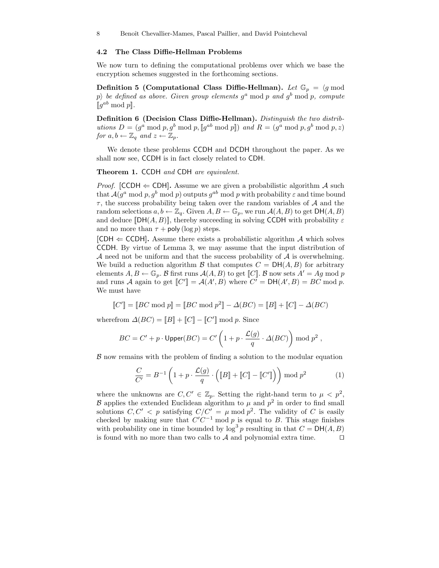#### 4.2 The Class Diffie-Hellman Problems

We now turn to defining the computational problems over which we base the encryption schemes suggested in the forthcoming sections.

**Definition 5 (Computational Class Diffie-Hellman).** Let  $\mathbb{G}_p = \langle g \bmod$ p) be defined as above. Given group elements  $g^a$  mod p and  $g^b$  mod p, compute  $\llbracket g^{ab} \bmod p \rrbracket$ .

Definition 6 (Decision Class Diffie-Hellman). Distinguish the two distributions  $D = (g^a \bmod p, g^b \bmod p, [g^{ab} \bmod p])$  and  $R = (g^a \bmod p, g^b \bmod p, z)$ for  $a, b \leftarrow \mathbb{Z}_q$  and  $z \leftarrow \mathbb{Z}_p$ .

We denote these problems CCDH and DCDH throughout the paper. As we shall now see, CCDH is in fact closely related to CDH.

Theorem 1. CCDH and CDH are equivalent.

*Proof.* [CCDH  $\Leftarrow$  CDH]. Assume we are given a probabilistic algorithm A such that  $\mathcal{A}(g^a \bmod p, g^b \bmod p)$  outputs  $g^{ab} \bmod p$  with probability  $\varepsilon$  and time bound  $\tau$ , the success probability being taken over the random variables of  $A$  and the random selections  $a, b \leftarrow \mathbb{Z}_q$ . Given  $A, B \leftarrow \mathbb{G}_p$ , we run  $\mathcal{A}(A, B)$  to get  $DH(A, B)$ and deduce  $[\text{DH}(A, B)]$ , thereby succeeding in solving CCDH with probability  $\varepsilon$ and no more than  $\tau$  + poly (log p) steps.

 $[CDH \leftarrow CCDH]$ . Assume there exists a probabilistic algorithm A which solves CCDH. By virtue of Lemma 3, we may assume that the input distribution of  $A$  need not be uniform and that the success probability of  $A$  is overwhelming. We build a reduction algorithm B that computes  $C = DH(A, B)$  for arbitrary elements  $A, B \leftarrow \mathbb{G}_p$ . B first runs  $A(A, B)$  to get  $[[C]]$ . B now sets  $A' = Ag \text{ mod } p$ and runs A again to get  $[[C']] = \mathcal{A}(A', B)$  where  $C' = \text{DH}(A', B) = BC \text{ mod } p$ . We must have

 $\llbracket C' \rrbracket = \llbracket BC \bmod p^2 \rrbracket - \Delta(BC) = \llbracket B \rrbracket + \llbracket C \rrbracket - \Delta(BC)$ 

wherefrom  $\Delta(BC) = [B] + [C] - [C'] \bmod p$ . Since

$$
BC = C' + p \cdot \text{Upper}(BC) = C' \left( 1 + p \cdot \frac{\mathcal{L}(g)}{q} \cdot \Delta(BC) \right) \bmod p^2,
$$

B now remains with the problem of finding a solution to the modular equation

$$
\frac{C}{C'} = B^{-1} \left( 1 + p \cdot \frac{\mathcal{L}(g)}{q} \cdot \left( \llbracket B \rrbracket + \llbracket C \rrbracket - \llbracket C' \rrbracket \right) \right) \bmod p^2 \tag{1}
$$

where the unknowns are  $C, C' \in \mathbb{Z}_p$ . Setting the right-hand term to  $\mu < p^2$ , B applies the extended Euclidean algorithm to  $\mu$  and  $p^2$  in order to find small solutions  $C, C' < p$  satisfying  $C/C' = \mu \mod p^2$ . The validity of C is easily checked by making sure that  $C'C^{-1}$  mod p is equal to B. This stage finishes with probability one in time bounded by  $\log^3 p$  resulting in that  $C = \mathsf{DH}(A, B)$ is found with no more than two calls to  $\mathcal A$  and polynomial extra time.  $\Box$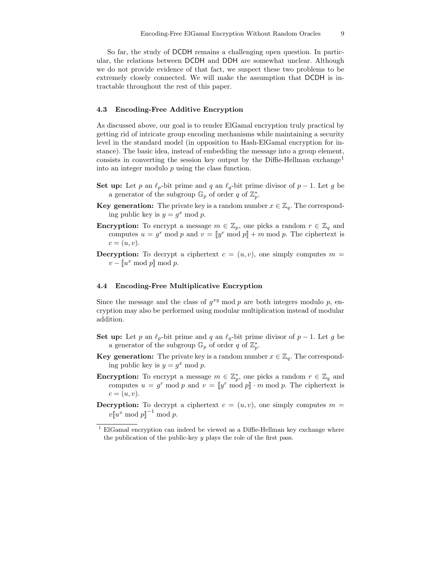So far, the study of DCDH remains a challenging open question. In particular, the relations between DCDH and DDH are somewhat unclear. Although we do not provide evidence of that fact, we suspect these two problems to be extremely closely connected. We will make the assumption that DCDH is intractable throughout the rest of this paper.

#### 4.3 Encoding-Free Additive Encryption

As discussed above, our goal is to render ElGamal encryption truly practical by getting rid of intricate group encoding mechanisms while maintaining a security level in the standard model (in opposition to Hash-ElGamal encryption for instance). The basic idea, instead of embedding the message into a group element, consists in converting the session key output by the Diffie-Hellman exchange<sup>1</sup> into an integer modulo  $p$  using the class function.

- Set up: Let p an  $\ell_p$ -bit prime and q an  $\ell_q$ -bit prime divisor of p − 1. Let g be a generator of the subgroup  $\mathbb{G}_p$  of order q of  $\mathbb{Z}_p^*$ .
- **Key generation:** The private key is a random number  $x \in \mathbb{Z}_q$ . The corresponding public key is  $y = g^x \mod p$ .
- **Encryption:** To encrypt a message  $m \in \mathbb{Z}_p$ , one picks a random  $r \in \mathbb{Z}_q$  and computes  $u = g^r \mod p$  and  $v = [y^r \mod p] + m \mod p$ . The ciphertext is  $c=(u,v).$
- **Decryption:** To decrypt a ciphertext  $c = (u, v)$ , one simply computes  $m =$  $v - [u^x \bmod p] \bmod p.$

#### 4.4 Encoding-Free Multiplicative Encryption

Since the message and the class of  $g^{xy}$  mod p are both integers modulo p, encryption may also be performed using modular multiplication instead of modular addition.

- Set up: Let p an  $\ell_p$ -bit prime and q an  $\ell_q$ -bit prime divisor of p − 1. Let g be a generator of the subgroup  $\mathbb{G}_p$  of order q of  $\mathbb{Z}_p^*$ .
- **Key generation:** The private key is a random number  $x \in \mathbb{Z}_q$ . The corresponding public key is  $y = g^x \mod p$ .
- **Encryption:** To encrypt a message  $m \in \mathbb{Z}_p^*$ , one picks a random  $r \in \mathbb{Z}_q$  and computes  $u = g^r \mod p$  and  $v = [y^r \mod p] \cdot m \mod p$ . The ciphertext is  $c = (u, v).$
- **Decryption:** To decrypt a ciphertext  $c = (u, v)$ , one simply computes  $m =$  $v[[u^x \bmod p]]^{-1} \bmod p.$

 $^1$  ElGamal encryption can indeed be viewed as a Diffie-Hellman key exchange where the publication of the public-key  $y$  plays the role of the first pass.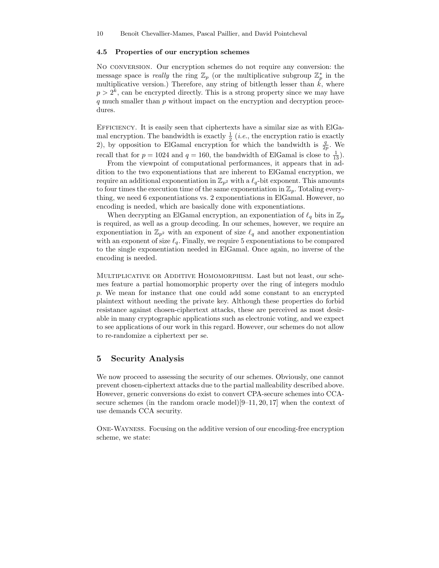#### 4.5 Properties of our encryption schemes

No conversion. Our encryption schemes do not require any conversion: the message space is *really* the ring  $\mathbb{Z}_p$  (or the multiplicative subgroup  $\mathbb{Z}_p^*$  in the multiplicative version.) Therefore, any string of bitlength lesser than  $k$ , where  $p > 2<sup>k</sup>$ , can be encrypted directly. This is a strong property since we may have q much smaller than p without impact on the encryption and decryption procedures.

EFFICIENCY. It is easily seen that ciphertexts have a similar size as with ElGamal encryption. The bandwidth is exactly  $\frac{1}{2}$  (*i.e.*, the encryption ratio is exactly 2), by opposition to ElGamal encryption for which the bandwidth is  $\frac{q}{2p}$ . We recall that for  $p = 1024$  and  $q = 160$ , the bandwidth of ElGamal is close to  $\frac{1}{13}$ .

From the viewpoint of computational performances, it appears that in addition to the two exponentiations that are inherent to ElGamal encryption, we require an additional exponentiation in  $\mathbb{Z}_{p^2}$  with a  $\ell_q$ -bit exponent. This amounts to four times the execution time of the same exponentiation in  $\mathbb{Z}_p$ . Totaling everything, we need 6 exponentiations vs. 2 exponentiations in ElGamal. However, no encoding is needed, which are basically done with exponentiations.

When decrypting an ElGamal encryption, an exponentiation of  $\ell_q$  bits in  $\mathbb{Z}_p$ is required, as well as a group decoding. In our schemes, however, we require an exponentiation in  $\mathbb{Z}_{p^2}$  with an exponent of size  $\ell_q$  and another exponentiation with an exponent of size  $\ell_q$ . Finally, we require 5 exponentiations to be compared to the single exponentiation needed in ElGamal. Once again, no inverse of the encoding is needed.

MULTIPLICATIVE OR ADDITIVE HOMOMORPHISM. Last but not least, our schemes feature a partial homomorphic property over the ring of integers modulo p. We mean for instance that one could add some constant to an encrypted plaintext without needing the private key. Although these properties do forbid resistance against chosen-ciphertext attacks, these are perceived as most desirable in many cryptographic applications such as electronic voting, and we expect to see applications of our work in this regard. However, our schemes do not allow to re-randomize a ciphertext per se.

## 5 Security Analysis

We now proceed to assessing the security of our schemes. Obviously, one cannot prevent chosen-ciphertext attacks due to the partial malleability described above. However, generic conversions do exist to convert CPA-secure schemes into CCAsecure schemes (in the random oracle model) $[9-11, 20, 17]$  when the context of use demands CCA security.

One-Wayness. Focusing on the additive version of our encoding-free encryption scheme, we state: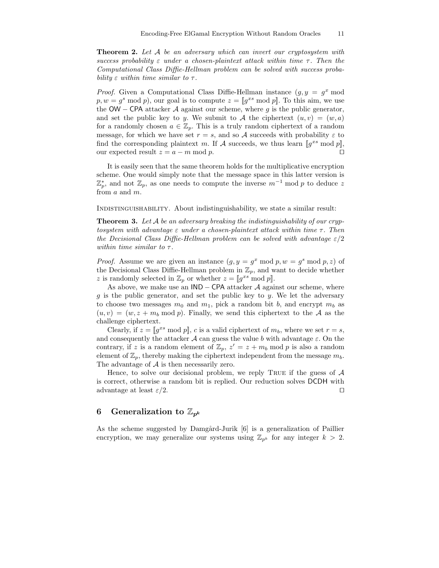**Theorem 2.** Let A be an adversary which can invert our cryptosystem with success probability  $\varepsilon$  under a chosen-plaintext attack within time  $\tau$ . Then the Computational Class Diffie-Hellman problem can be solved with success probability  $\varepsilon$  within time similar to  $\tau$ .

*Proof.* Given a Computational Class Diffie-Hellman instance  $(g, y = g^x \text{ mod } x)$  $p, w = g<sup>s</sup> \text{ mod } p$ , our goal is to compute  $z = [g<sup>xs</sup> \text{ mod } p]$ . To this aim, we use the OW – CPA attacker A against our scheme, where q is the public generator, and set the public key to y. We submit to A the ciphertext  $(u, v) = (w, a)$ for a randomly chosen  $a \in \mathbb{Z}_p$ . This is a truly random ciphertext of a random message, for which we have set  $r = s$ , and so A succeeds with probability  $\varepsilon$  to find the corresponding plaintext m. If A succeeds, we thus learn  $\llbracket g^{xs} \bmod p \rrbracket$ , our expected result  $z = a - m \mod p$ .

It is easily seen that the same theorem holds for the multiplicative encryption scheme. One would simply note that the message space in this latter version is  $\mathbb{Z}_p^*$ , and not  $\mathbb{Z}_p$ , as one needs to compute the inverse  $m^{-1}$  mod p to deduce z from a and m.

Indistinguishability. About indistinguishability, we state a similar result:

**Theorem 3.** Let A be an adversary breaking the indistinguishability of our crypto to system with advantage  $\varepsilon$  under a chosen-plaintext attack within time  $\tau$ . Then the Decisional Class Diffie-Hellman problem can be solved with advantage  $\varepsilon/2$ within time similar to  $\tau$ .

*Proof.* Assume we are given an instance  $(g, y = g^x \mod p, w = g^s \mod p, z)$  of the Decisional Class Diffie-Hellman problem in  $\mathbb{Z}_p$ , and want to decide whether z is randomly selected in  $\mathbb{Z}_p$  or whether  $z = [g^{xs}]$  mod p.

As above, we make use an  $IND - CPA$  attacker A against our scheme, where  $g$  is the public generator, and set the public key to  $y$ . We let the adversary to choose two messages  $m_0$  and  $m_1$ , pick a random bit b, and encrypt  $m_b$  as  $(u, v) = (w, z + m_b \mod p)$ . Finally, we send this ciphertext to the A as the challenge ciphertext.

Clearly, if  $z = [g^{xs} \mod p]$ , c is a valid ciphertext of  $m_b$ , where we set  $r = s$ , and consequently the attacker A can guess the value b with advantage  $\varepsilon$ . On the contrary, if z is a random element of  $\mathbb{Z}_p$ ,  $z' = z + m_b \mod p$  is also a random element of  $\mathbb{Z}_p$ , thereby making the ciphertext independent from the message  $m_b$ . The advantage of  $A$  is then necessarily zero.

Hence, to solve our decisional problem, we reply TRUE if the guess of  $A$ is correct, otherwise a random bit is replied. Our reduction solves DCDH with advantage at least  $\varepsilon/2$ .

## 6 Generalization to  $\mathbb{Z}_{p^k}$

As the scheme suggested by Damgård-Jurik [6] is a generalization of Paillier encryption, we may generalize our systems using  $\mathbb{Z}_{p^k}$  for any integer  $k > 2$ .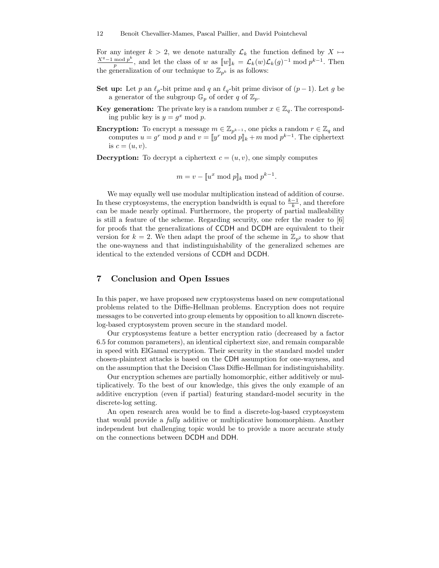For any integer  $k > 2$ , we denote naturally  $\mathcal{L}_k$  the function defined by  $X \mapsto$  $X^q-1 \bmod p^k$  $\frac{\text{mod }p^k}{p}$ , and let the class of w as  $[\![w]\!]_k = \mathcal{L}_k(w)\mathcal{L}_k(g)^{-1} \bmod p^{k-1}$ . Then the generalization of our technique to  $\mathbb{Z}_{p^k}$  is as follows:

- Set up: Let p an  $\ell_p$ -bit prime and q an  $\ell_q$ -bit prime divisor of  $(p 1)$ . Let g be a generator of the subgroup  $\mathbb{G}_p$  of order q of  $\mathbb{Z}_p$ .
- **Key generation:** The private key is a random number  $x \in \mathbb{Z}_q$ . The corresponding public key is  $y = g^x \mod p$ .
- **Encryption:** To encrypt a message  $m \in \mathbb{Z}_{p^{k-1}}$ , one picks a random  $r \in \mathbb{Z}_q$  and computes  $u = g^r \mod p$  and  $v = [y^r \mod p]_k + m \mod p^{k-1}$ . The ciphertext is  $c = (u, v)$ .

**Decryption:** To decrypt a ciphertext  $c = (u, v)$ , one simply computes

$$
m = v - [u^x \bmod p]_k \bmod p^{k-1}.
$$

We may equally well use modular multiplication instead of addition of course. In these cryptosystems, the encryption bandwidth is equal to  $\frac{k-1}{k}$ , and therefore can be made nearly optimal. Furthermore, the property of partial malleability is still a feature of the scheme. Regarding security, one refer the reader to [6] for proofs that the generalizations of CCDH and DCDH are equivalent to their version for  $k = 2$ . We then adapt the proof of the scheme in  $\mathbb{Z}_{p^2}$  to show that the one-wayness and that indistinguishability of the generalized schemes are identical to the extended versions of CCDH and DCDH.

## 7 Conclusion and Open Issues

In this paper, we have proposed new cryptosystems based on new computational problems related to the Diffie-Hellman problems. Encryption does not require messages to be converted into group elements by opposition to all known discretelog-based cryptosystem proven secure in the standard model.

Our cryptosystems feature a better encryption ratio (decreased by a factor 6.5 for common parameters), an identical ciphertext size, and remain comparable in speed with ElGamal encryption. Their security in the standard model under chosen-plaintext attacks is based on the CDH assumption for one-wayness, and on the assumption that the Decision Class Diffie-Hellman for indistinguishability.

Our encryption schemes are partially homomorphic, either additively or multiplicatively. To the best of our knowledge, this gives the only example of an additive encryption (even if partial) featuring standard-model security in the discrete-log setting.

An open research area would be to find a discrete-log-based cryptosystem that would provide a fully additive or multiplicative homomorphism. Another independent but challenging topic would be to provide a more accurate study on the connections between DCDH and DDH.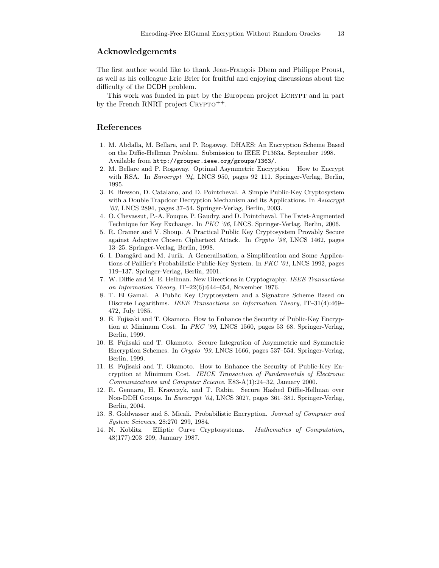## Acknowledgements

The first author would like to thank Jean-François Dhem and Philippe Proust, as well as his colleague Eric Brier for fruitful and enjoying discussions about the difficulty of the DCDH problem.

This work was funded in part by the European project ECRYPT and in part by the French RNRT project  $C{\rm RYPTO}^{++}$ .

## References

- 1. M. Abdalla, M. Bellare, and P. Rogaway. DHAES: An Encryption Scheme Based on the Diffie-Hellman Problem. Submission to IEEE P1363a. September 1998. Available from http://grouper.ieee.org/groups/1363/.
- 2. M. Bellare and P. Rogaway. Optimal Asymmetric Encryption How to Encrypt with RSA. In Eurocrypt '94, LNCS 950, pages 92–111. Springer-Verlag, Berlin, 1995.
- 3. E. Bresson, D. Catalano, and D. Pointcheval. A Simple Public-Key Cryptosystem with a Double Trapdoor Decryption Mechanism and its Applications. In Asiacrypt '03, LNCS 2894, pages 37–54. Springer-Verlag, Berlin, 2003.
- 4. O. Chevassut, P.-A. Fouque, P. Gaudry, and D. Pointcheval. The Twist-Augmented Technique for Key Exchange. In PKC '06, LNCS. Springer-Verlag, Berlin, 2006.
- 5. R. Cramer and V. Shoup. A Practical Public Key Cryptosystem Provably Secure against Adaptive Chosen Ciphertext Attack. In Crypto '98, LNCS 1462, pages 13–25. Springer-Verlag, Berlin, 1998.
- 6. I. Damgård and M. Jurik. A Generalisation, a Simplification and Some Applications of Paillier's Probabilistic Public-Key System. In PKC '01, LNCS 1992, pages 119–137. Springer-Verlag, Berlin, 2001.
- 7. W. Diffie and M. E. Hellman. New Directions in Cryptography. IEEE Transactions on Information Theory, IT–22(6):644–654, November 1976.
- 8. T. El Gamal. A Public Key Cryptosystem and a Signature Scheme Based on Discrete Logarithms. IEEE Transactions on Information Theory, IT–31(4):469– 472, July 1985.
- 9. E. Fujisaki and T. Okamoto. How to Enhance the Security of Public-Key Encryption at Minimum Cost. In PKC '99, LNCS 1560, pages 53–68. Springer-Verlag, Berlin, 1999.
- 10. E. Fujisaki and T. Okamoto. Secure Integration of Asymmetric and Symmetric Encryption Schemes. In Crypto '99, LNCS 1666, pages 537–554. Springer-Verlag, Berlin, 1999.
- 11. E. Fujisaki and T. Okamoto. How to Enhance the Security of Public-Key Encryption at Minimum Cost. IEICE Transaction of Fundamentals of Electronic Communications and Computer Science, E83-A(1):24–32, January 2000.
- 12. R. Gennaro, H. Krawczyk, and T. Rabin. Secure Hashed Diffie-Hellman over Non-DDH Groups. In Eurocrypt '04, LNCS 3027, pages 361–381. Springer-Verlag, Berlin, 2004.
- 13. S. Goldwasser and S. Micali. Probabilistic Encryption. Journal of Computer and System Sciences, 28:270–299, 1984.
- 14. N. Koblitz. Elliptic Curve Cryptosystems. Mathematics of Computation, 48(177):203–209, January 1987.